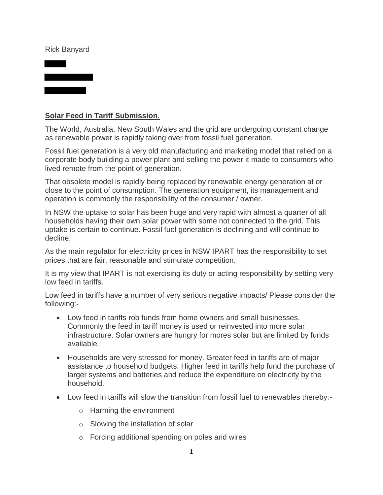## Rick Banyard



## **Solar Feed in Tariff Submission.**

The World, Australia, New South Wales and the grid are undergoing constant change as renewable power is rapidly taking over from fossil fuel generation.

Fossil fuel generation is a very old manufacturing and marketing model that relied on a corporate body building a power plant and selling the power it made to consumers who lived remote from the point of generation.

That obsolete model is rapidly being replaced by renewable energy generation at or close to the point of consumption. The generation equipment, its management and operation is commonly the responsibility of the consumer / owner.

In NSW the uptake to solar has been huge and very rapid with almost a quarter of all households having their own solar power with some not connected to the grid. This uptake is certain to continue. Fossil fuel generation is declining and will continue to decline.

As the main regulator for electricity prices in NSW IPART has the responsibility to set prices that are fair, reasonable and stimulate competition.

It is my view that IPART is not exercising its duty or acting responsibility by setting very low feed in tariffs.

Low feed in tariffs have a number of very serious negative impacts/ Please consider the following:-

- Low feed in tariffs rob funds from home owners and small businesses. Commonly the feed in tariff money is used or reinvested into more solar infrastructure. Solar owners are hungry for mores solar but are limited by funds available.
- Households are very stressed for money. Greater feed in tariffs are of major assistance to household budgets. Higher feed in tariffs help fund the purchase of larger systems and batteries and reduce the expenditure on electricity by the household.
- Low feed in tariffs will slow the transition from fossil fuel to renewables thereby:
	- o Harming the environment
	- o Slowing the installation of solar
	- o Forcing additional spending on poles and wires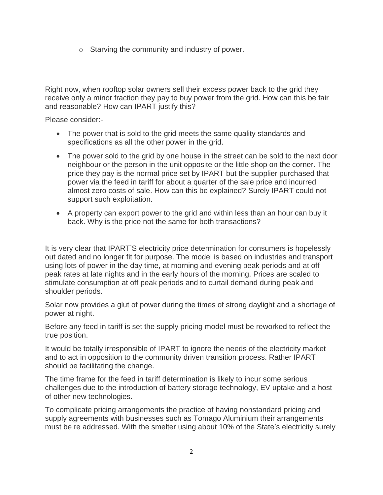o Starving the community and industry of power.

Right now, when rooftop solar owners sell their excess power back to the grid they receive only a minor fraction they pay to buy power from the grid. How can this be fair and reasonable? How can IPART justify this?

Please consider:-

- The power that is sold to the grid meets the same quality standards and specifications as all the other power in the grid.
- The power sold to the grid by one house in the street can be sold to the next door neighbour or the person in the unit opposite or the little shop on the corner. The price they pay is the normal price set by IPART but the supplier purchased that power via the feed in tariff for about a quarter of the sale price and incurred almost zero costs of sale. How can this be explained? Surely IPART could not support such exploitation.
- A property can export power to the grid and within less than an hour can buy it back. Why is the price not the same for both transactions?

It is very clear that IPART'S electricity price determination for consumers is hopelessly out dated and no longer fit for purpose. The model is based on industries and transport using lots of power in the day time, at morning and evening peak periods and at off peak rates at late nights and in the early hours of the morning. Prices are scaled to stimulate consumption at off peak periods and to curtail demand during peak and shoulder periods.

Solar now provides a glut of power during the times of strong daylight and a shortage of power at night.

Before any feed in tariff is set the supply pricing model must be reworked to reflect the true position.

It would be totally irresponsible of IPART to ignore the needs of the electricity market and to act in opposition to the community driven transition process. Rather IPART should be facilitating the change.

The time frame for the feed in tariff determination is likely to incur some serious challenges due to the introduction of battery storage technology, EV uptake and a host of other new technologies.

To complicate pricing arrangements the practice of having nonstandard pricing and supply agreements with businesses such as Tomago Aluminium their arrangements must be re addressed. With the smelter using about 10% of the State's electricity surely